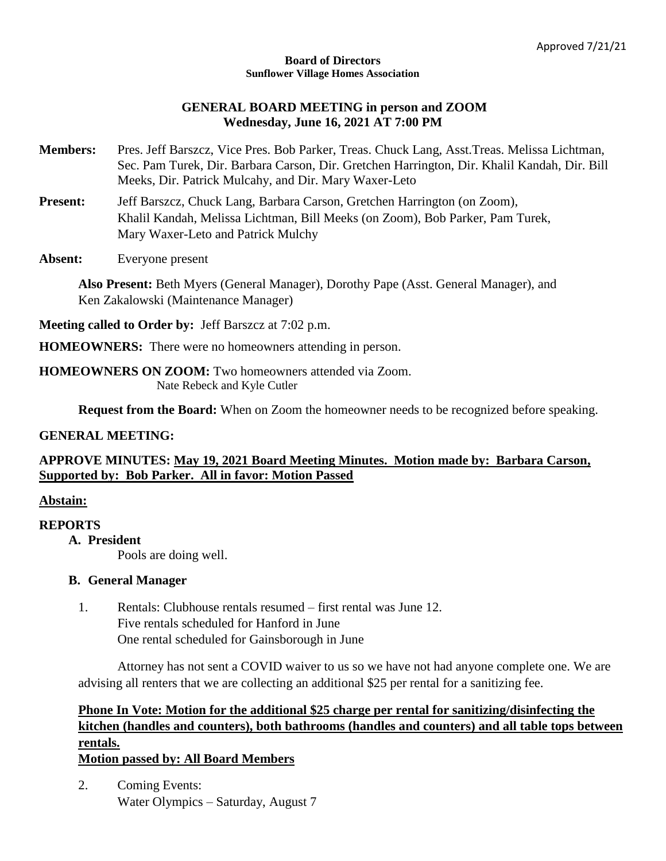#### **Board of Directors Sunflower Village Homes Association**

### **GENERAL BOARD MEETING in person and ZOOM Wednesday, June 16, 2021 AT 7:00 PM**

- **Members:** Pres. Jeff Barszcz, Vice Pres. Bob Parker, Treas. Chuck Lang, Asst.Treas. Melissa Lichtman, Sec. Pam Turek, Dir. Barbara Carson, Dir. Gretchen Harrington, Dir. Khalil Kandah, Dir. Bill Meeks, Dir. Patrick Mulcahy, and Dir. Mary Waxer-Leto
- Present: Jeff Barszcz, Chuck Lang, Barbara Carson, Gretchen Harrington (on Zoom), Khalil Kandah, Melissa Lichtman, Bill Meeks (on Zoom), Bob Parker, Pam Turek, Mary Waxer-Leto and Patrick Mulchy
- **Absent:** Everyone present

**Also Present:** Beth Myers (General Manager), Dorothy Pape (Asst. General Manager), and Ken Zakalowski (Maintenance Manager)

**Meeting called to Order by:** Jeff Barszcz at 7:02 p.m.

**HOMEOWNERS:** There were no homeowners attending in person.

#### **HOMEOWNERS ON ZOOM:** Two homeowners attended via Zoom. Nate Rebeck and Kyle Cutler

**Request from the Board:** When on Zoom the homeowner needs to be recognized before speaking.

### **GENERAL MEETING:**

## **APPROVE MINUTES: May 19, 2021 Board Meeting Minutes. Motion made by: Barbara Carson, Supported by: Bob Parker. All in favor: Motion Passed**

## **Abstain:**

### **REPORTS**

## **A. President**

Pools are doing well.

### **B. General Manager**

1. Rentals: Clubhouse rentals resumed – first rental was June 12. Five rentals scheduled for Hanford in June One rental scheduled for Gainsborough in June

Attorney has not sent a COVID waiver to us so we have not had anyone complete one. We are advising all renters that we are collecting an additional \$25 per rental for a sanitizing fee.

# **Phone In Vote: Motion for the additional \$25 charge per rental for sanitizing/disinfecting the kitchen (handles and counters), both bathrooms (handles and counters) and all table tops between rentals.**

## **Motion passed by: All Board Members**

2. Coming Events: Water Olympics – Saturday, August 7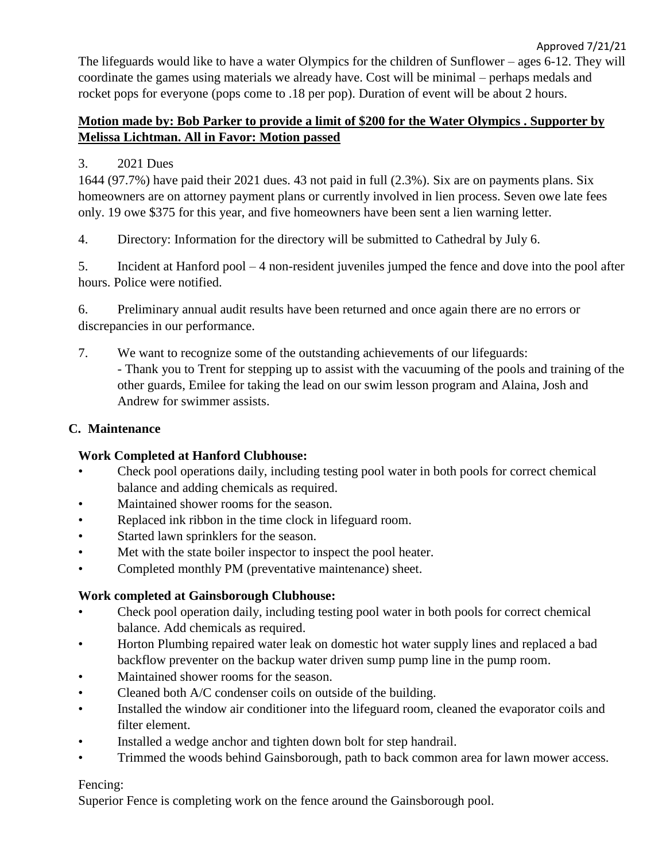Approved 7/21/21 The lifeguards would like to have a water Olympics for the children of Sunflower – ages 6-12. They will coordinate the games using materials we already have. Cost will be minimal – perhaps medals and rocket pops for everyone (pops come to .18 per pop). Duration of event will be about 2 hours.

## **Motion made by: Bob Parker to provide a limit of \$200 for the Water Olympics . Supporter by Melissa Lichtman. All in Favor: Motion passed**

## 3. 2021 Dues

1644 (97.7%) have paid their 2021 dues. 43 not paid in full (2.3%). Six are on payments plans. Six homeowners are on attorney payment plans or currently involved in lien process. Seven owe late fees only. 19 owe \$375 for this year, and five homeowners have been sent a lien warning letter.

4. Directory: Information for the directory will be submitted to Cathedral by July 6.

5. Incident at Hanford pool – 4 non-resident juveniles jumped the fence and dove into the pool after hours. Police were notified.

6. Preliminary annual audit results have been returned and once again there are no errors or discrepancies in our performance.

7. We want to recognize some of the outstanding achievements of our lifeguards: - Thank you to Trent for stepping up to assist with the vacuuming of the pools and training of the other guards, Emilee for taking the lead on our swim lesson program and Alaina, Josh and Andrew for swimmer assists.

## **C. Maintenance**

# **Work Completed at Hanford Clubhouse:**

- Check pool operations daily, including testing pool water in both pools for correct chemical balance and adding chemicals as required.
- Maintained shower rooms for the season.
- Replaced ink ribbon in the time clock in lifeguard room.
- Started lawn sprinklers for the season.
- Met with the state boiler inspector to inspect the pool heater.
- Completed monthly PM (preventative maintenance) sheet.

# **Work completed at Gainsborough Clubhouse:**

- Check pool operation daily, including testing pool water in both pools for correct chemical balance. Add chemicals as required.
- Horton Plumbing repaired water leak on domestic hot water supply lines and replaced a bad backflow preventer on the backup water driven sump pump line in the pump room.
- Maintained shower rooms for the season.
- Cleaned both A/C condenser coils on outside of the building.
- Installed the window air conditioner into the lifeguard room, cleaned the evaporator coils and filter element.
- Installed a wedge anchor and tighten down bolt for step handrail.
- Trimmed the woods behind Gainsborough, path to back common area for lawn mower access.

# Fencing:

Superior Fence is completing work on the fence around the Gainsborough pool.